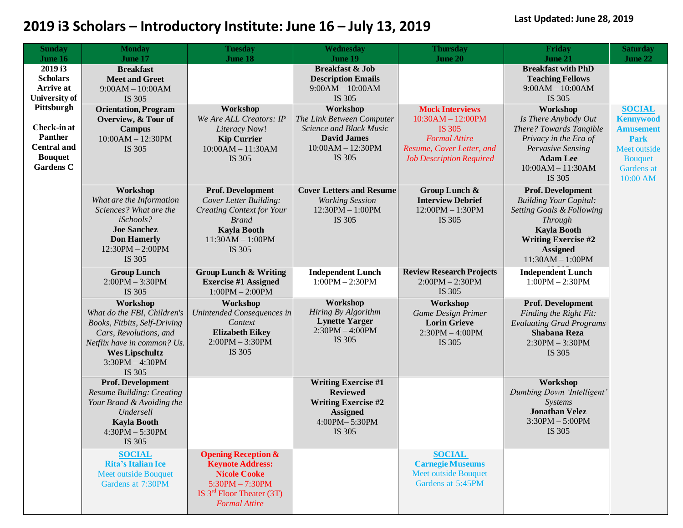| <b>Sunday</b>        | <b>Monday</b>                    | <b>Tuesday</b>                   | Wednesday                       | <b>Thursday</b>                 | Friday                               | <b>Saturday</b>  |
|----------------------|----------------------------------|----------------------------------|---------------------------------|---------------------------------|--------------------------------------|------------------|
| June 16              | June 17                          | <b>June 18</b>                   | June 19                         | <b>June 20</b>                  | June 21                              | June 22          |
| 2019 i3              | <b>Breakfast</b>                 |                                  | <b>Breakfast &amp; Job</b>      |                                 | <b>Breakfast with PhD</b>            |                  |
| <b>Scholars</b>      | <b>Meet and Greet</b>            |                                  | <b>Description Emails</b>       |                                 | <b>Teaching Fellows</b>              |                  |
| <b>Arrive at</b>     | $9:00AM - 10:00AM$               |                                  | $9:00AM - 10:00AM$              |                                 | $9:00AM - 10:00AM$                   |                  |
| <b>University of</b> | IS 305                           |                                  | IS 305                          |                                 | IS 305                               |                  |
| Pittsburgh           | <b>Orientation, Program</b>      | Workshop                         | Workshop                        | <b>Mock Interviews</b>          | Workshop                             | <b>SOCIAL</b>    |
|                      | Overview, & Tour of              | We Are ALL Creators: IP          | The Link Between Computer       | $10:30AM - 12:00PM$             | Is There Anybody Out                 | <b>Kennywood</b> |
| Check-in at          | <b>Campus</b>                    | Literacy Now!                    | Science and Black Music         | <b>IS 305</b>                   | There? Towards Tangible              | <b>Amusement</b> |
| <b>Panther</b>       | $10:00AM - 12:30PM$              | <b>Kip Currier</b>               | <b>David James</b>              | <b>Formal Attire</b>            | Privacy in the Era of                | <b>Park</b>      |
| <b>Central and</b>   | IS 305                           | $10:00AM - 11:30AM$              | $10:00AM - 12:30PM$             | Resume, Cover Letter, and       | Pervasive Sensing                    | Meet outside     |
| <b>Bouquet</b>       |                                  | IS 305                           | IS 305                          | <b>Job Description Required</b> | <b>Adam Lee</b>                      | <b>Bouquet</b>   |
| <b>Gardens C</b>     |                                  |                                  |                                 |                                 | $10:00AM - 11:30AM$                  | Gardens at       |
|                      |                                  |                                  |                                 |                                 | IS 305                               | 10:00 AM         |
|                      | Workshop                         | Prof. Development                | <b>Cover Letters and Resume</b> | Group Lunch &                   | Prof. Development                    |                  |
|                      | What are the Information         | Cover Letter Building:           | <b>Working Session</b>          | <b>Interview Debrief</b>        | <b>Building Your Capital:</b>        |                  |
|                      | Sciences? What are the           | <b>Creating Context for Your</b> | 12:30PM - 1:00PM                | 12:00PM - 1:30PM                | <b>Setting Goals &amp; Following</b> |                  |
|                      | iSchools?                        | <b>Brand</b>                     | IS 305                          | IS 305                          | <b>Through</b>                       |                  |
|                      | <b>Joe Sanchez</b>               | <b>Kayla Booth</b>               |                                 |                                 | <b>Kayla Booth</b>                   |                  |
|                      | <b>Don Hamerly</b>               | $11:30AM - 1:00PM$               |                                 |                                 | <b>Writing Exercise #2</b>           |                  |
|                      | $12:30PM - 2:00PM$               | IS 305                           |                                 |                                 | <b>Assigned</b>                      |                  |
|                      | IS 305                           |                                  |                                 |                                 | $11:30AM - 1:00PM$                   |                  |
|                      | <b>Group Lunch</b>               | <b>Group Lunch &amp; Writing</b> | <b>Independent Lunch</b>        | <b>Review Research Projects</b> | <b>Independent Lunch</b>             |                  |
|                      | $2:00PM - 3:30PM$                | <b>Exercise #1 Assigned</b>      | $1:00PM - 2:30PM$               | $2:00PM - 2:30PM$               | $1:00PM - 2:30PM$                    |                  |
|                      | IS 305                           | $1:00PM - 2:00PM$                |                                 | IS 305                          |                                      |                  |
|                      | Workshop                         | Workshop                         | <b>Workshop</b>                 | Workshop                        | Prof. Development                    |                  |
|                      | What do the FBI, Children's      | Unintended Consequences in       | Hiring By Algorithm             | <b>Game Design Primer</b>       | Finding the Right Fit:               |                  |
|                      | Books, Fitbits, Self-Driving     | Context                          | <b>Lynette Yarger</b>           | <b>Lorin Grieve</b>             | <b>Evaluating Grad Programs</b>      |                  |
|                      | Cars, Revolutions, and           | <b>Elizabeth Eikey</b>           | $2:30PM - 4:00PM$               | $2:30PM - 4:00PM$               | <b>Shabana Reza</b>                  |                  |
|                      | Netflix have in common? Us.      | $2:00PM - 3:30PM$                | IS 305                          | IS 305                          | $2:30PM - 3:30PM$                    |                  |
|                      | <b>Wes Lipschultz</b>            | IS 305                           |                                 |                                 | IS 305                               |                  |
|                      | $3:30PM - 4:30PM$                |                                  |                                 |                                 |                                      |                  |
|                      | IS 305                           |                                  |                                 |                                 |                                      |                  |
|                      | Prof. Development                |                                  | <b>Writing Exercise #1</b>      |                                 | Workshop                             |                  |
|                      | <b>Resume Building: Creating</b> |                                  | <b>Reviewed</b>                 |                                 | Dumbing Down 'Intelligent'           |                  |
|                      | Your Brand & Avoiding the        |                                  | <b>Writing Exercise #2</b>      |                                 | Systems                              |                  |
|                      | Undersell                        |                                  | <b>Assigned</b>                 |                                 | <b>Jonathan Velez</b>                |                  |
|                      | <b>Kayla Booth</b>               |                                  | 4:00PM-5:30PM                   |                                 | $3:30PM - 5:00PM$                    |                  |
|                      | $4:30PM - 5:30PM$                |                                  | IS 305                          |                                 | IS 305                               |                  |
|                      | IS 305                           |                                  |                                 |                                 |                                      |                  |
|                      | <b>SOCIAL</b>                    | <b>Opening Reception &amp;</b>   |                                 | <b>SOCIAL</b>                   |                                      |                  |
|                      | <b>Rita's Italian Ice</b>        | <b>Keynote Address:</b>          |                                 | <b>Carnegie Museums</b>         |                                      |                  |
|                      | <b>Meet outside Bouquet</b>      | <b>Nicole Cooke</b>              |                                 | <b>Meet outside Bouquet</b>     |                                      |                  |
|                      | Gardens at 7:30PM                | $5:30PM - 7:30PM$                |                                 | Gardens at 5:45PM               |                                      |                  |
|                      |                                  | IS $3rd$ Floor Theater (3T)      |                                 |                                 |                                      |                  |
|                      |                                  | <b>Formal Attire</b>             |                                 |                                 |                                      |                  |
|                      |                                  |                                  |                                 |                                 |                                      |                  |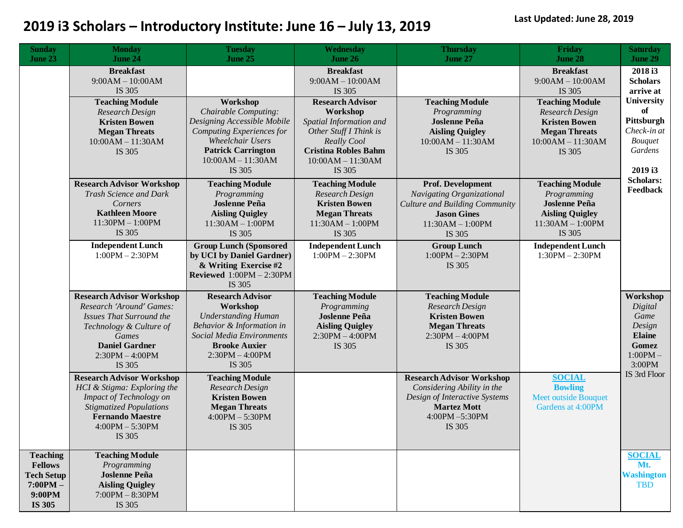| <b>Sunday</b><br>June 23                                                                 | <b>Monday</b><br>June 24                                                                                                                                                                      | <b>Tuesday</b><br>June 25                                                                                                                                                          | Wednesday<br><b>June 26</b>                                                                                                                                             | <b>Thursday</b><br><b>June 27</b>                                                                                                                | Friday<br>June 28                                                                                                          | <b>Saturday</b><br>June 29                                                                   |
|------------------------------------------------------------------------------------------|-----------------------------------------------------------------------------------------------------------------------------------------------------------------------------------------------|------------------------------------------------------------------------------------------------------------------------------------------------------------------------------------|-------------------------------------------------------------------------------------------------------------------------------------------------------------------------|--------------------------------------------------------------------------------------------------------------------------------------------------|----------------------------------------------------------------------------------------------------------------------------|----------------------------------------------------------------------------------------------|
|                                                                                          | <b>Breakfast</b><br>$9:00AM - 10:00AM$<br>IS 305                                                                                                                                              |                                                                                                                                                                                    | <b>Breakfast</b><br>$9:00AM - 10:00AM$<br>IS 305                                                                                                                        |                                                                                                                                                  | <b>Breakfast</b><br>$9:00AM - 10:00AM$<br>IS 305                                                                           | 2018 <sub>i3</sub><br><b>Scholars</b><br>arrive at                                           |
|                                                                                          | <b>Teaching Module</b><br>Research Design<br><b>Kristen Bowen</b><br><b>Megan Threats</b><br>$10:00AM - 11:30AM$<br>IS 305                                                                    | Workshop<br>Chairable Computing:<br>Designing Accessible Mobile<br>Computing Experiences for<br>Wheelchair Users<br><b>Patrick Carrington</b><br>$10:00AM - 11:30AM$<br>IS 305     | <b>Research Advisor</b><br>Workshop<br>Spatial Information and<br>Other Stuff I Think is<br>Really Cool<br><b>Cristina Robles Bahm</b><br>$10:00AM - 11:30AM$<br>IS 305 | <b>Teaching Module</b><br>Programming<br><b>Joslenne Peña</b><br><b>Aisling Quigley</b><br>$10:00AM - 11:30AM$<br>IS 305                         | <b>Teaching Module</b><br>Research Design<br><b>Kristen Bowen</b><br><b>Megan Threats</b><br>$10:00AM - 11:30AM$<br>IS 305 | <b>University</b><br>of<br>Pittsburgh<br>Check-in at<br><b>Bouquet</b><br>Gardens<br>2019 i3 |
|                                                                                          | <b>Research Advisor Workshop</b><br>Trash Science and Dark<br>Corners<br><b>Kathleen Moore</b><br>$11:30PM - 1:00PM$<br>IS 305                                                                | <b>Teaching Module</b><br>Programming<br><b>Joslenne Peña</b><br><b>Aisling Quigley</b><br>$11:30AM - 1:00PM$<br>IS 305                                                            | <b>Teaching Module</b><br>Research Design<br><b>Kristen Bowen</b><br><b>Megan Threats</b><br>$11:30AM - 1:00PM$<br>IS 305                                               | Prof. Development<br>Navigating Organizational<br><b>Culture and Building Community</b><br><b>Jason Gines</b><br>$11:30AM - 1:00PM$<br>IS 305    | <b>Teaching Module</b><br>Programming<br><b>Joslenne Peña</b><br><b>Aisling Quigley</b><br>$11:30AM - 1:00PM$<br>IS 305    | <b>Scholars:</b><br>Feedback                                                                 |
|                                                                                          | <b>Independent Lunch</b><br>$1:00PM - 2:30PM$                                                                                                                                                 | <b>Group Lunch (Sponsored</b><br>by UCI by Daniel Gardner)<br>& Writing Exercise #2<br>Reviewed $1:00PM - 2:30PM$<br>IS 305                                                        | <b>Independent Lunch</b><br>$1:00PM - 2:30PM$                                                                                                                           | <b>Group Lunch</b><br>$1:00PM - 2:30PM$<br>IS 305                                                                                                | <b>Independent Lunch</b><br>$1:30PM - 2:30PM$                                                                              |                                                                                              |
|                                                                                          | <b>Research Advisor Workshop</b><br>Research 'Around' Games:<br><b>Issues That Surround the</b><br>Technology & Culture of<br>Games<br><b>Daniel Gardner</b><br>$2:30PM - 4:00PM$<br>IS 305   | <b>Research Advisor</b><br>Workshop<br><b>Understanding Human</b><br>Behavior & Information in<br>Social Media Environments<br><b>Brooke Auxier</b><br>$2:30PM - 4:00PM$<br>IS 305 | <b>Teaching Module</b><br>Programming<br><b>Joslenne Peña</b><br><b>Aisling Quigley</b><br>$2:30PM - 4:00PM$<br>IS 305                                                  | <b>Teaching Module</b><br>Research Design<br><b>Kristen Bowen</b><br><b>Megan Threats</b><br>$2:30PM - 4:00PM$<br>IS 305                         |                                                                                                                            | Workshop<br>Digital<br>Game<br>Design<br><b>Elaine</b><br>Gomez<br>$1:00PM -$<br>3:00PM      |
|                                                                                          | <b>Research Advisor Workshop</b><br>HCI & Stigma: Exploring the<br><b>Impact of Technology on</b><br><b>Stigmatized Populations</b><br><b>Fernando Maestre</b><br>$4:00PM - 5:30PM$<br>IS 305 | <b>Teaching Module</b><br>Research Design<br><b>Kristen Bowen</b><br><b>Megan Threats</b><br>$4:00PM - 5:30PM$<br>IS 305                                                           |                                                                                                                                                                         | <b>Research Advisor Workshop</b><br>Considering Ability in the<br>Design of Interactive Systems<br><b>Martez Mott</b><br>4:00PM-5:30PM<br>IS 305 | <b>SOCIAL</b><br><b>Bowling</b><br><b>Meet outside Bouquet</b><br>Gardens at 4:00PM                                        | IS 3rd Floor                                                                                 |
| <b>Teaching</b><br><b>Fellows</b><br><b>Tech Setup</b><br>$7:00PM -$<br>9:00PM<br>IS 305 | <b>Teaching Module</b><br>Programming<br><b>Joslenne Peña</b><br><b>Aisling Quigley</b><br>$7:00PM - 8:30PM$<br>IS 305                                                                        |                                                                                                                                                                                    |                                                                                                                                                                         |                                                                                                                                                  |                                                                                                                            | <b>SOCIAL</b><br>Mt.<br><b>Washington</b><br><b>TBD</b>                                      |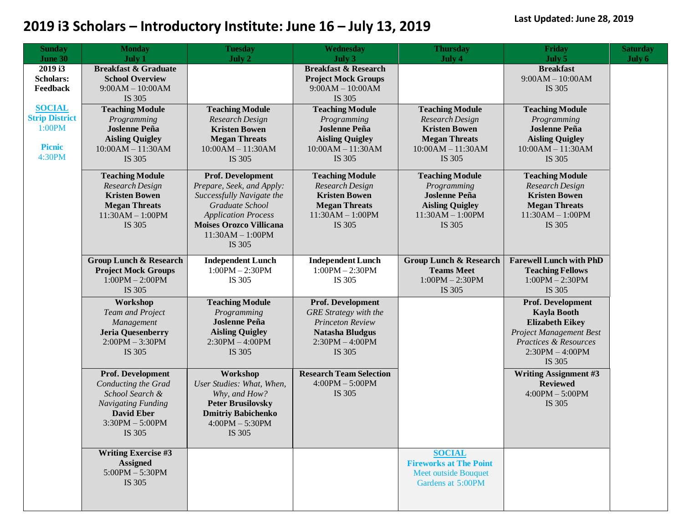| <b>Sunday</b>         | <b>Monday</b>                             | <b>Tuesday</b>                 | Wednesday                                 | <b>Thursday</b>                   | <b>Friday</b>                             | <b>Saturday</b> |
|-----------------------|-------------------------------------------|--------------------------------|-------------------------------------------|-----------------------------------|-------------------------------------------|-----------------|
| <b>June 30</b>        | July 1                                    | July 2                         | July 3                                    | July 4                            | July 5                                    | July 6          |
| 2019 i3               | <b>Breakfast &amp; Graduate</b>           |                                | <b>Breakfast &amp; Research</b>           |                                   | <b>Breakfast</b>                          |                 |
| <b>Scholars:</b>      | <b>School Overview</b>                    |                                | <b>Project Mock Groups</b>                |                                   | $9:00AM - 10:00AM$                        |                 |
| Feedback              | $9:00AM - 10:00AM$                        |                                | $9:00AM - 10:00AM$                        |                                   | IS 305                                    |                 |
|                       | IS 305                                    |                                | IS 305                                    |                                   |                                           |                 |
| <b>SOCIAL</b>         | <b>Teaching Module</b>                    | <b>Teaching Module</b>         | <b>Teaching Module</b>                    | <b>Teaching Module</b>            | <b>Teaching Module</b>                    |                 |
| <b>Strip District</b> | Programming                               | Research Design                | Programming                               | Research Design                   | Programming                               |                 |
| 1:00PM                | <b>Joslenne Peña</b>                      | <b>Kristen Bowen</b>           | <b>Joslenne Peña</b>                      | <b>Kristen Bowen</b>              | <b>Joslenne Peña</b>                      |                 |
|                       | <b>Aisling Quigley</b>                    | <b>Megan Threats</b>           | <b>Aisling Quigley</b>                    | <b>Megan Threats</b>              | <b>Aisling Quigley</b>                    |                 |
| <b>Picnic</b>         | $10:00AM - 11:30AM$                       | $10:00AM - 11:30AM$            | $10:00AM - 11:30AM$                       | $10:00AM - 11:30AM$               | $10:00AM - 11:30AM$                       |                 |
| 4:30PM                | IS 305                                    | IS 305                         | IS 305                                    | IS 305                            | IS 305                                    |                 |
|                       |                                           | Prof. Development              |                                           | <b>Teaching Module</b>            |                                           |                 |
|                       | <b>Teaching Module</b><br>Research Design | Prepare, Seek, and Apply:      | <b>Teaching Module</b><br>Research Design | Programming                       | <b>Teaching Module</b><br>Research Design |                 |
|                       | <b>Kristen Bowen</b>                      | Successfully Navigate the      | <b>Kristen Bowen</b>                      | <b>Joslenne Peña</b>              | <b>Kristen Bowen</b>                      |                 |
|                       | <b>Megan Threats</b>                      | Graduate School                | <b>Megan Threats</b>                      | <b>Aisling Quigley</b>            | <b>Megan Threats</b>                      |                 |
|                       | $11:30AM - 1:00PM$                        | <b>Application Process</b>     | $11:30AM - 1:00PM$                        | $11:30AM - 1:00PM$                | $11:30AM - 1:00PM$                        |                 |
|                       | IS 305                                    | <b>Moises Orozco Villicana</b> | IS 305                                    | IS 305                            | IS 305                                    |                 |
|                       |                                           | $11:30AM - 1:00PM$             |                                           |                                   |                                           |                 |
|                       |                                           | IS 305                         |                                           |                                   |                                           |                 |
|                       |                                           |                                |                                           |                                   |                                           |                 |
|                       | <b>Group Lunch &amp; Research</b>         | <b>Independent Lunch</b>       | <b>Independent Lunch</b>                  | <b>Group Lunch &amp; Research</b> | <b>Farewell Lunch with PhD</b>            |                 |
|                       | <b>Project Mock Groups</b>                | $1:00PM - 2:30PM$              | $1:00PM - 2:30PM$                         | <b>Teams Meet</b>                 | <b>Teaching Fellows</b>                   |                 |
|                       | $1:00PM - 2:00PM$                         | IS 305                         | IS 305                                    | $1:00PM - 2:30PM$                 | $1:00PM - 2:30PM$                         |                 |
|                       | IS 305                                    |                                |                                           | IS 305                            | IS 305                                    |                 |
|                       | Workshop                                  | <b>Teaching Module</b>         | Prof. Development                         |                                   | Prof. Development                         |                 |
|                       | Team and Project                          | Programming                    | <b>GRE</b> Strategy with the              |                                   | <b>Kayla Booth</b>                        |                 |
|                       | Management                                | <b>Joslenne Peña</b>           | <b>Princeton Review</b>                   |                                   | <b>Elizabeth Eikey</b>                    |                 |
|                       | <b>Jeria Quesenberry</b>                  | <b>Aisling Quigley</b>         | <b>Natasha Bludgus</b>                    |                                   | <b>Project Management Best</b>            |                 |
|                       | $2:00PM - 3:30PM$                         | $2:30PM - 4:00PM$              | $2:30PM - 4:00PM$                         |                                   | <b>Practices &amp; Resources</b>          |                 |
|                       | IS 305                                    | IS 305                         | IS 305                                    |                                   | $2:30PM - 4:00PM$                         |                 |
|                       |                                           |                                |                                           |                                   | IS 305                                    |                 |
|                       | Prof. Development                         | Workshop                       | <b>Research Team Selection</b>            |                                   | <b>Writing Assignment #3</b>              |                 |
|                       | Conducting the Grad                       | User Studies: What, When,      | $4:00PM - 5:00PM$                         |                                   | <b>Reviewed</b>                           |                 |
|                       | School Search &                           | Why, and How?                  | IS 305                                    |                                   | $4:00PM - 5:00PM$                         |                 |
|                       | <b>Navigating Funding</b>                 | <b>Peter Brusilovsky</b>       |                                           |                                   | IS 305                                    |                 |
|                       | <b>David Eber</b>                         | <b>Dmitriy Babichenko</b>      |                                           |                                   |                                           |                 |
|                       | $3:30PM - 5:00PM$                         | $4:00PM - 5:30PM$              |                                           |                                   |                                           |                 |
|                       | IS 305                                    | IS 305                         |                                           |                                   |                                           |                 |
|                       |                                           |                                |                                           |                                   |                                           |                 |
|                       | <b>Writing Exercise #3</b>                |                                |                                           | <b>SOCIAL</b>                     |                                           |                 |
|                       | <b>Assigned</b>                           |                                |                                           | <b>Fireworks at The Point</b>     |                                           |                 |
|                       | $5:00PM - 5:30PM$                         |                                |                                           | <b>Meet outside Bouquet</b>       |                                           |                 |
|                       | IS 305                                    |                                |                                           | Gardens at 5:00PM                 |                                           |                 |
|                       |                                           |                                |                                           |                                   |                                           |                 |
|                       |                                           |                                |                                           |                                   |                                           |                 |